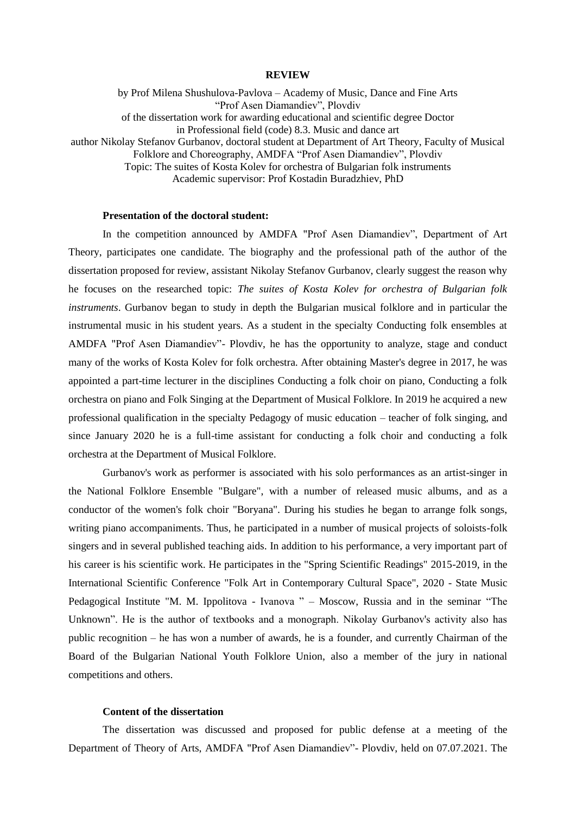## **REVIEW**

by Prof Milena Shushulova-Pavlova – Academy of Music, Dance and Fine Arts "Prof Asen Diamandiev", Plovdiv of the dissertation work for awarding educational and scientific degree Doctor in Professional field (code) 8.3. Music and dance art author Nikolay Stefanov Gurbanov, doctoral student at Department of Art Theory, Faculty of Musical Folklore and Choreography, AMDFA "Prof Asen Diamandiev", Plovdiv Topic: The suites of Kosta Kolev for orchestra of Bulgarian folk instruments Academic supervisor: Prof Kostadin Buradzhiev, PhD

## **Presentation of the doctoral student:**

In the competition announced by AMDFA "Prof Asen Diamandiev", Department of Art Theory, participates one candidate. The biography and the professional path of the author of the dissertation proposed for review, assistant Nikolay Stefanov Gurbanov, clearly suggest the reason why he focuses on the researched topic: *The suites of Kosta Kolev for orchestra of Bulgarian folk instruments*. Gurbanov began to study in depth the Bulgarian musical folklore and in particular the instrumental music in his student years. As a student in the specialty Conducting folk ensembles at AMDFA "Prof Asen Diamandiev"- Plovdiv, he has the opportunity to analyze, stage and conduct many of the works of Kosta Kolev for folk orchestra. After obtaining Master's degree in 2017, he was appointed a part-time lecturer in the disciplines Conducting a folk choir on piano, Conducting a folk orchestra on piano and Folk Singing at the Department of Musical Folklore. In 2019 he acquired a new professional qualification in the specialty Pedagogy of music education – teacher of folk singing, and since January 2020 he is a full-time assistant for conducting a folk choir and conducting a folk orchestra at the Department of Musical Folklore.

Gurbanov's work as performer is associated with his solo performances as an artist-singer in the National Folklore Ensemble "Bulgare", with a number of released music albums, and as a conductor of the women's folk choir "Boryana". During his studies he began to arrange folk songs, writing piano accompaniments. Thus, he participated in a number of musical projects of soloists-folk singers and in several published teaching aids. In addition to his performance, a very important part of his career is his scientific work. He participates in the "Spring Scientific Readings" 2015-2019, in the International Scientific Conference "Folk Art in Contemporary Cultural Space", 2020 - State Music Pedagogical Institute "M. M. Ippolitova - Ivanova " – Moscow, Russia and in the seminar "The Unknown". He is the author of textbooks and a monograph. Nikolay Gurbanov's activity also has public recognition – he has won a number of awards, he is a founder, and currently Chairman of the Board of the Bulgarian National Youth Folklore Union, also a member of the jury in national competitions and others.

## **Content of the dissertation**

The dissertation was discussed and proposed for public defense at a meeting of the Department of Theory of Arts, AMDFA "Prof Asen Diamandiev"- Plovdiv, held on 07.07.2021. The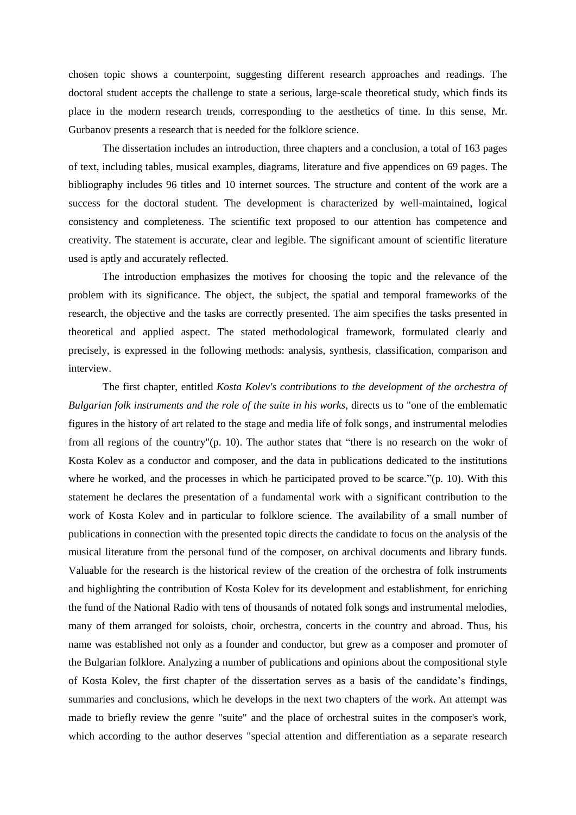chosen topic shows a counterpoint, suggesting different research approaches and readings. The doctoral student accepts the challenge to state a serious, large-scale theoretical study, which finds its place in the modern research trends, corresponding to the aesthetics of time. In this sense, Mr. Gurbanov presents a research that is needed for the folklore science.

The dissertation includes an introduction, three chapters and a conclusion, a total of 163 pages of text, including tables, musical examples, diagrams, literature and five appendices on 69 pages. The bibliography includes 96 titles and 10 internet sources. The structure and content of the work are a success for the doctoral student. The development is characterized by well-maintained, logical consistency and completeness. The scientific text proposed to our attention has competence and creativity. The statement is accurate, clear and legible. The significant amount of scientific literature used is aptly and accurately reflected.

The introduction emphasizes the motives for choosing the topic and the relevance of the problem with its significance. The object, the subject, the spatial and temporal frameworks of the research, the objective and the tasks are correctly presented. The aim specifies the tasks presented in theoretical and applied aspect. The stated methodological framework, formulated clearly and precisely, is expressed in the following methods: analysis, synthesis, classification, comparison and interview.

The first chapter, entitled *Kosta Kolev's contributions to the development of the orchestra of Bulgarian folk instruments and the role of the suite in his works,* directs us to "one of the emblematic figures in the history of art related to the stage and media life of folk songs, and instrumental melodies from all regions of the country"(p. 10). The author states that "there is no research on the wokr of Kosta Kolev as a conductor and composer, and the data in publications dedicated to the institutions where he worked, and the processes in which he participated proved to be scarce."(p. 10). With this statement he declares the presentation of a fundamental work with a significant contribution to the work of Kosta Kolev and in particular to folklore science. The availability of a small number of publications in connection with the presented topic directs the candidate to focus on the analysis of the musical literature from the personal fund of the composer, on archival documents and library funds. Valuable for the research is the historical review of the creation of the orchestra of folk instruments and highlighting the contribution of Kosta Kolev for its development and establishment, for enriching the fund of the National Radio with tens of thousands of notated folk songs and instrumental melodies, many of them arranged for soloists, choir, orchestra, concerts in the country and abroad. Thus, his name was established not only as a founder and conductor, but grew as a composer and promoter of the Bulgarian folklore. Analyzing a number of publications and opinions about the compositional style of Kosta Kolev, the first chapter of the dissertation serves as a basis of the candidate's findings, summaries and conclusions, which he develops in the next two chapters of the work. An attempt was made to briefly review the genre "suite" and the place of orchestral suites in the composer's work, which according to the author deserves "special attention and differentiation as a separate research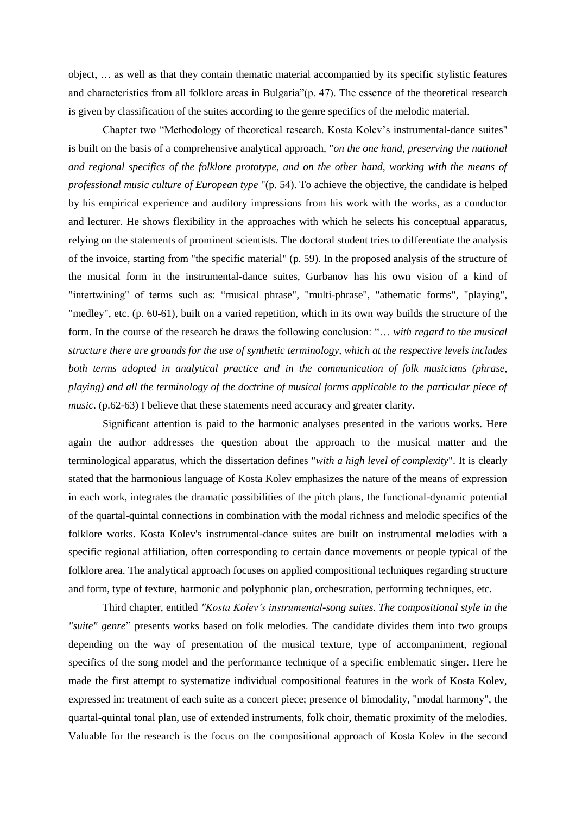object, … as well as that they contain thematic material accompanied by its specific stylistic features and characteristics from all folklore areas in Bulgaria"(p. 47). The essence of the theoretical research is given by classification of the suites according to the genre specifics of the melodic material.

Chapter two "Methodology of theoretical research. Kosta Kolev's instrumental-dance suites" is built on the basis of a comprehensive analytical approach, "*on the one hand, preserving the national and regional specifics of the folklore prototype, and on the other hand, working with the means of professional music culture of European type* "(p. 54). To achieve the objective, the candidate is helped by his empirical experience and auditory impressions from his work with the works, as a conductor and lecturer. He shows flexibility in the approaches with which he selects his conceptual apparatus, relying on the statements of prominent scientists. The doctoral student tries to differentiate the analysis of the invoice, starting from "the specific material" (p. 59). In the proposed analysis of the structure of the musical form in the instrumental-dance suites, Gurbanov has his own vision of a kind of "intertwining" of terms such as: "musical phrase", "multi-phrase", "athematic forms", "playing", "medley", etc. (p. 60-61), built on a varied repetition, which in its own way builds the structure of the form. In the course of the research he draws the following conclusion: "… *with regard to the musical structure there are grounds for the use of synthetic terminology, which at the respective levels includes both terms adopted in analytical practice and in the communication of folk musicians (phrase, playing) and all the terminology of the doctrine of musical forms applicable to the particular piece of music*. (p.62-63) I believe that these statements need accuracy and greater clarity.

Significant attention is paid to the harmonic analyses presented in the various works. Here again the author addresses the question about the approach to the musical matter and the terminological apparatus, which the dissertation defines "*with a high level of complexity*". It is clearly stated that the harmonious language of Kosta Kolev emphasizes the nature of the means of expression in each work, integrates the dramatic possibilities of the pitch plans, the functional-dynamic potential of the quartal-quintal connections in combination with the modal richness and melodic specifics of the folklore works. Kosta Kolev's instrumental-dance suites are built on instrumental melodies with a specific regional affiliation, often corresponding to certain dance movements or people typical of the folklore area. The analytical approach focuses on applied compositional techniques regarding structure and form, type of texture, harmonic and polyphonic plan, orchestration, performing techniques, etc.

Third chapter, entitled *"Kosta Kolev's instrumental-song suites. The compositional style in the "suite" genre*" presents works based on folk melodies. The candidate divides them into two groups depending on the way of presentation of the musical texture, type of accompaniment, regional specifics of the song model and the performance technique of a specific emblematic singer. Here he made the first attempt to systematize individual compositional features in the work of Kosta Kolev, expressed in: treatment of each suite as a concert piece; presence of bimodality, "modal harmony", the quartal-quintal tonal plan, use of extended instruments, folk choir, thematic proximity of the melodies. Valuable for the research is the focus on the compositional approach of Kosta Kolev in the second